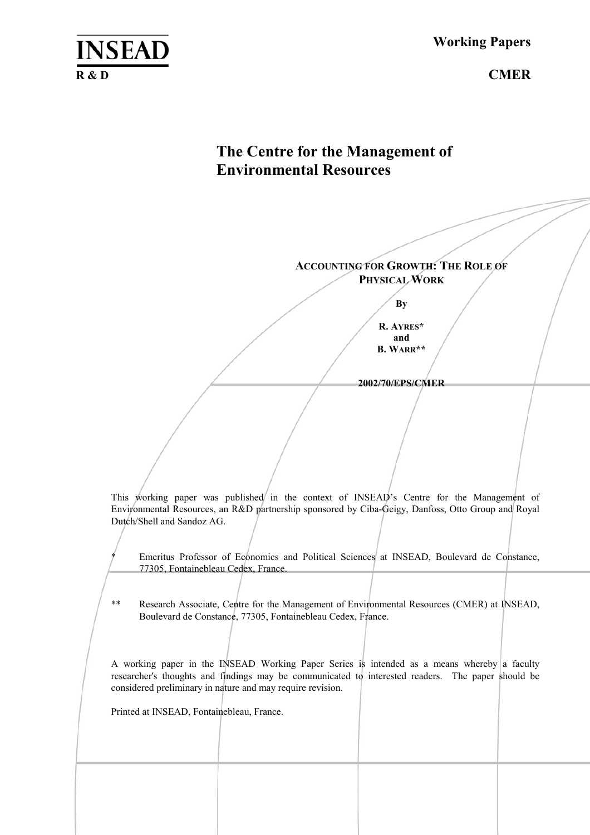**Working Papers**

# **The Centre for the Management of Environmental Resources**

**ACCOUNTING FOR GROWTH: THE ROLE OF PHYSICAL WORK**

**By** 

**R. AYRES\* and B. WARR\*\*** 

**2002/70/EPS/CMER** 

This working paper was published in the context of INSEAD's Centre for the Management of Environmental Resources, an R&D partnership sponsored by Ciba-Geigy, Danfoss, Otto Group and Royal Dutch/Shell and Sandoz AG.

Emeritus Professor of Economics and Political Sciences at INSEAD, Boulevard de Constance, 77305, Fontainebleau Cedex, France.

\*\* Research Associate, Centre for the Management of Environmental Resources (CMER) at INSEAD, Boulevard de Constance, 77305, Fontainebleau Cedex, France.

A working paper in the INSEAD Working Paper Series is intended as a means whereby a faculty researcher's thoughts and findings may be communicated to interested readers. The paper should be considered preliminary in nature and may require revision.

Printed at INSEAD, Fontainebleau, France.

**INSEAD**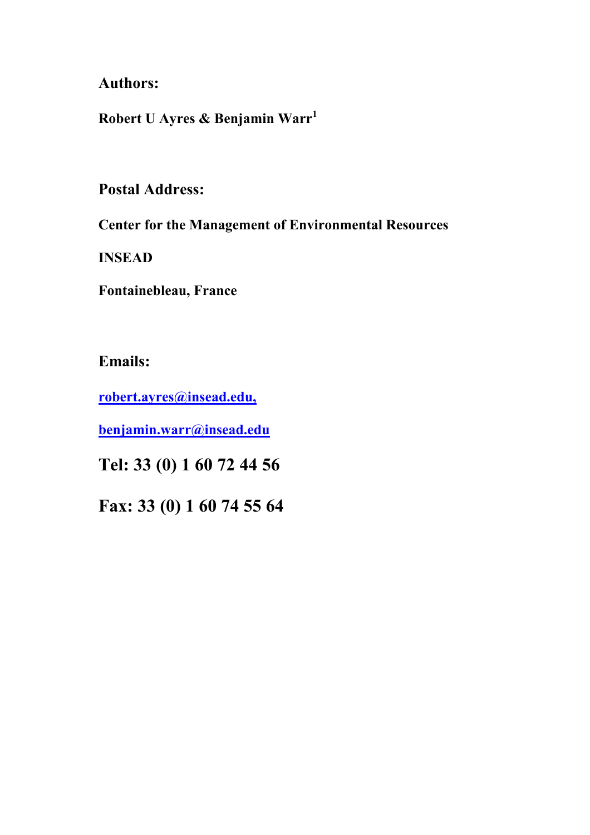## **Authors:**

**Robert U Ayres & Benjamin Warr[1](#page-41-0)** 

## **Postal Address:**

**Center for the Management of Environmental Resources** 

**INSEAD** 

**Fontainebleau, France** 

**Emails:** 

**[robert.ayres@insead.edu,](mailto:robert.ayres@insead.fr)**

**benjamin.warr@insead.edu**

**Tel: 33 (0) 1 60 72 44 56** 

**Fax: 33 (0) 1 60 74 55 64**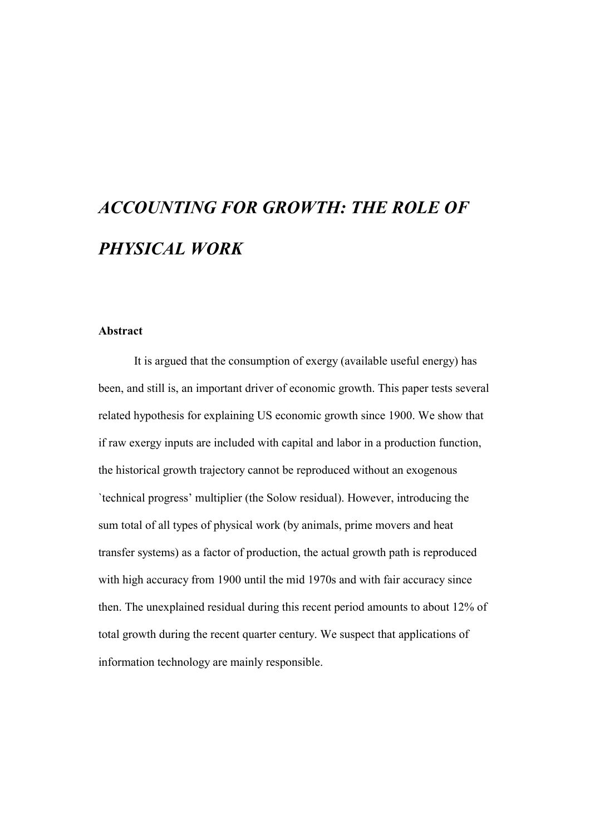# *ACCOUNTING FOR GROWTH: THE ROLE OF PHYSICAL WORK*

#### **Abstract**

It is argued that the consumption of exergy (available useful energy) has been, and still is, an important driver of economic growth. This paper tests several related hypothesis for explaining US economic growth since 1900. We show that if raw exergy inputs are included with capital and labor in a production function, the historical growth trajectory cannot be reproduced without an exogenous `technical progress' multiplier (the Solow residual). However, introducing the sum total of all types of physical work (by animals, prime movers and heat transfer systems) as a factor of production, the actual growth path is reproduced with high accuracy from 1900 until the mid 1970s and with fair accuracy since then. The unexplained residual during this recent period amounts to about 12% of total growth during the recent quarter century. We suspect that applications of information technology are mainly responsible.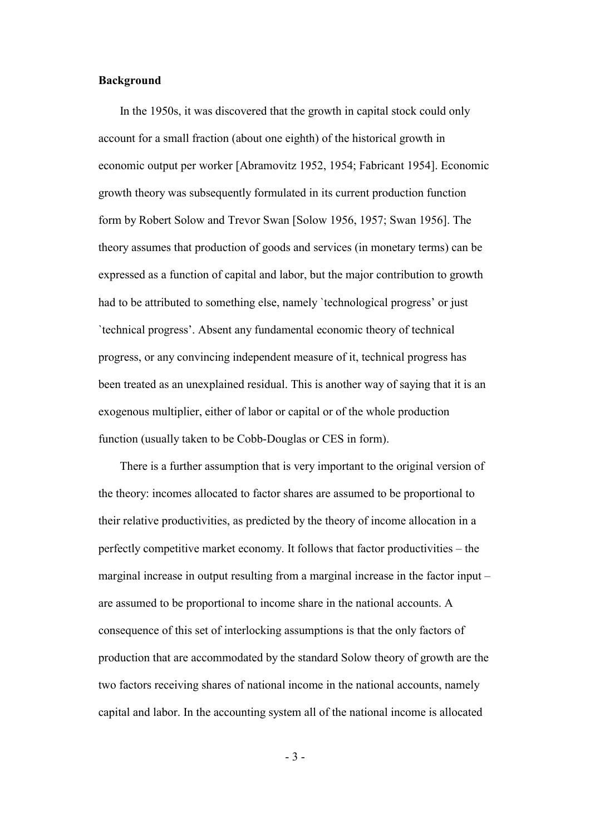#### **Background**

In the 1950s, it was discovered that the growth in capital stock could only account for a small fraction (about one eighth) of the historical growth in economic output per worker [Abramovitz 1952, 1954; Fabricant 1954]. Economic growth theory was subsequently formulated in its current production function form by Robert Solow and Trevor Swan [Solow 1956, 1957; Swan 1956]. The theory assumes that production of goods and services (in monetary terms) can be expressed as a function of capital and labor, but the major contribution to growth had to be attributed to something else, namely `technological progress' or just `technical progress'. Absent any fundamental economic theory of technical progress, or any convincing independent measure of it, technical progress has been treated as an unexplained residual. This is another way of saying that it is an exogenous multiplier, either of labor or capital or of the whole production function (usually taken to be Cobb-Douglas or CES in form).

There is a further assumption that is very important to the original version of the theory: incomes allocated to factor shares are assumed to be proportional to their relative productivities, as predicted by the theory of income allocation in a perfectly competitive market economy. It follows that factor productivities – the marginal increase in output resulting from a marginal increase in the factor input – are assumed to be proportional to income share in the national accounts. A consequence of this set of interlocking assumptions is that the only factors of production that are accommodated by the standard Solow theory of growth are the two factors receiving shares of national income in the national accounts, namely capital and labor. In the accounting system all of the national income is allocated

- 3 -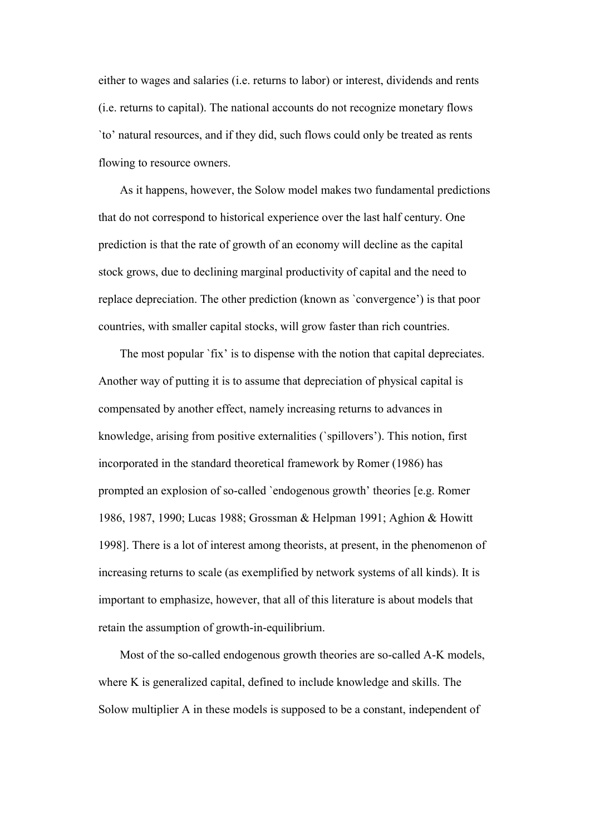either to wages and salaries (i.e. returns to labor) or interest, dividends and rents (i.e. returns to capital). The national accounts do not recognize monetary flows `to' natural resources, and if they did, such flows could only be treated as rents flowing to resource owners.

As it happens, however, the Solow model makes two fundamental predictions that do not correspond to historical experience over the last half century. One prediction is that the rate of growth of an economy will decline as the capital stock grows, due to declining marginal productivity of capital and the need to replace depreciation. The other prediction (known as `convergence') is that poor countries, with smaller capital stocks, will grow faster than rich countries.

The most popular `fix' is to dispense with the notion that capital depreciates. Another way of putting it is to assume that depreciation of physical capital is compensated by another effect, namely increasing returns to advances in knowledge, arising from positive externalities (`spillovers'). This notion, first incorporated in the standard theoretical framework by Romer (1986) has prompted an explosion of so-called `endogenous growth' theories [e.g. Romer 1986, 1987, 1990; Lucas 1988; Grossman & Helpman 1991; Aghion & Howitt 1998]. There is a lot of interest among theorists, at present, in the phenomenon of increasing returns to scale (as exemplified by network systems of all kinds). It is important to emphasize, however, that all of this literature is about models that retain the assumption of growth-in-equilibrium.

Most of the so-called endogenous growth theories are so-called A-K models, where K is generalized capital, defined to include knowledge and skills. The Solow multiplier A in these models is supposed to be a constant, independent of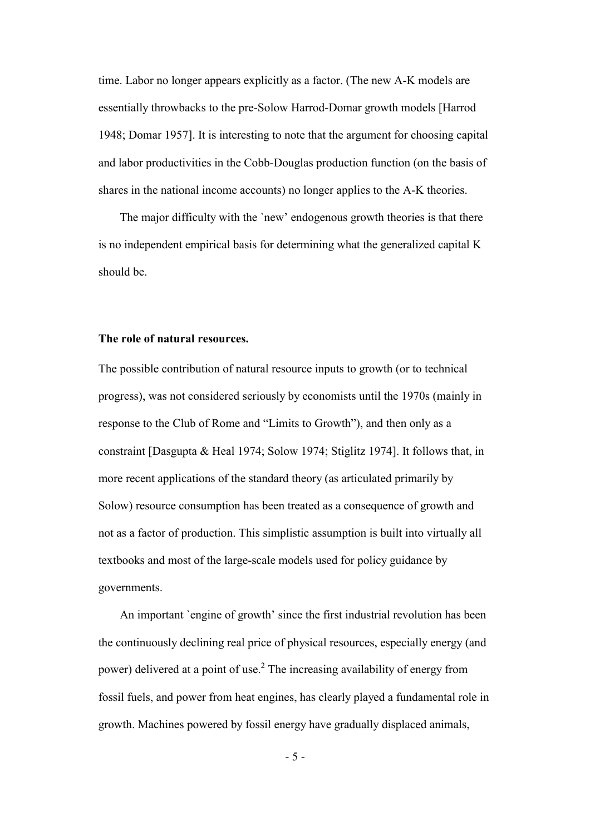time. Labor no longer appears explicitly as a factor. (The new A-K models are essentially throwbacks to the pre-Solow Harrod-Domar growth models [Harrod 1948; Domar 1957]. It is interesting to note that the argument for choosing capital and labor productivities in the Cobb-Douglas production function (on the basis of shares in the national income accounts) no longer applies to the A-K theories.

The major difficulty with the `new' endogenous growth theories is that there is no independent empirical basis for determining what the generalized capital K should be.

#### **The role of natural resources.**

The possible contribution of natural resource inputs to growth (or to technical progress), was not considered seriously by economists until the 1970s (mainly in response to the Club of Rome and "Limits to Growth"), and then only as a constraint [Dasgupta & Heal 1974; Solow 1974; Stiglitz 1974]. It follows that, in more recent applications of the standard theory (as articulated primarily by Solow) resource consumption has been treated as a consequence of growth and not as a factor of production. This simplistic assumption is built into virtually all textbooks and most of the large-scale models used for policy guidance by governments.

An important `engine of growth' since the first industrial revolution has been the continuously declining real price of physical resources, especially energy (and power) delivered at a point of use.<sup>2</sup> The increasing availability of energy from fossil fuels, and power from heat engines, has clearly played a fundamental role in growth. Machines powered by fossil energy have gradually displaced animals,

- 5 -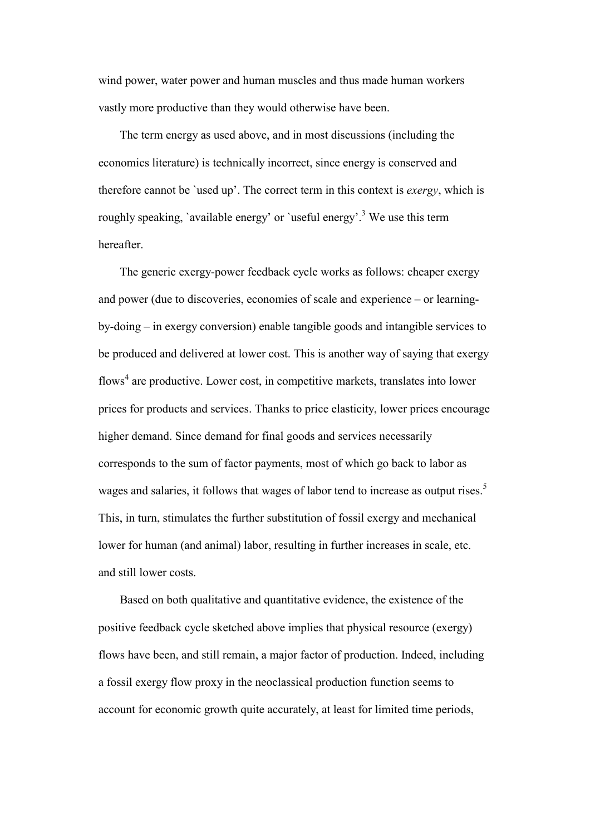wind power, water power and human muscles and thus made human workers vastly more productive than they would otherwise have been.

The term energy as used above, and in most discussions (including the economics literature) is technically incorrect, since energy is conserved and therefore cannot be `used up'. The correct term in this context is *exergy*, which is roughly speaking, `available energy' or `useful energy'.<sup>3</sup> [W](#page-41-2)e use this term hereafter.

The generic exergy-power feedback cycle works as follows: cheaper exergy and power (due to discoveries, economies of scale and experience – or learningby-doing – in exergy conversion) enable tangible goods and intangible services to be produced and delivered at lower cost. This is another way of saying that exergy flows<sup>[4](#page-41-3)</sup> are productive. Lower cost, in competitive markets, translates into lower prices for products and services. Thanks to price elasticity, lower prices encourage higher demand. Since demand for final goods and services necessarily corresponds to the sum of factor payments, most of which go back to labor as wages and salaries, it follows that wages of labor tend to increase as output rises.<sup>[5](#page-41-4)</sup> This, in turn, stimulates the further substitution of fossil exergy and mechanical lower for human (and animal) labor, resulting in further increases in scale, etc. and still lower costs.

Based on both qualitative and quantitative evidence, the existence of the positive feedback cycle sketched above implies that physical resource (exergy) flows have been, and still remain, a major factor of production. Indeed, including a fossil exergy flow proxy in the neoclassical production function seems to account for economic growth quite accurately, at least for limited time periods,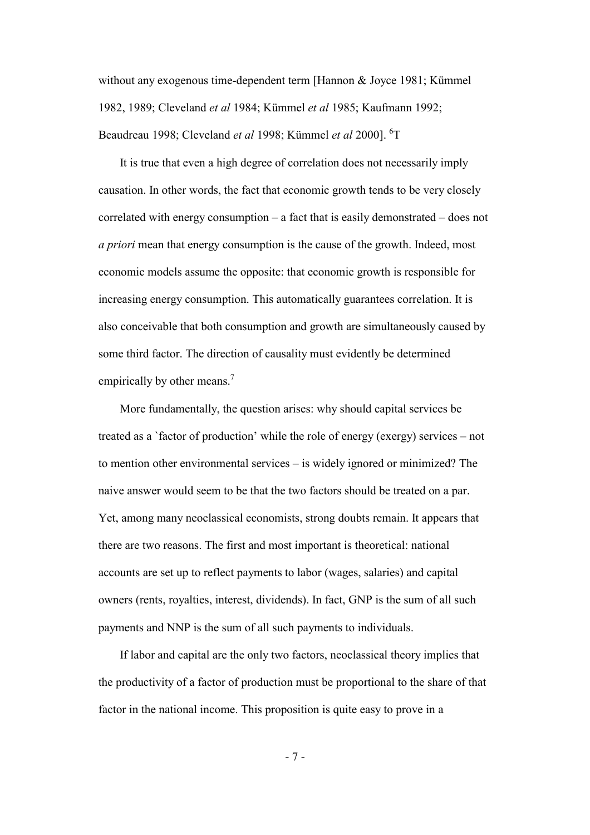without any exogenous time-dependent term [Hannon & Joyce 1981; Kümmel 1982, 1989; Cleveland *et al* 1984; Kümmel *et al* 1985; Kaufmann 1992; Beaudreau 1998; Cleveland *et al* 1998; Kümmel *et al* 2000]. <sup>[6](#page-41-5)</sup>T

It is true that even a high degree of correlation does not necessarily imply causation. In other words, the fact that economic growth tends to be very closely correlated with energy consumption – a fact that is easily demonstrated – does not *a priori* mean that energy consumption is the cause of the growth. Indeed, most economic models assume the opposite: that economic growth is responsible for increasing energy consumption. This automatically guarantees correlation. It is also conceivable that both consumption and growth are simultaneously caused by some third factor. The direction of causality must evidently be determined empirically by other means.<sup>[7](#page-41-6)</sup>

More fundamentally, the question arises: why should capital services be treated as a `factor of production' while the role of energy (exergy) services – not to mention other environmental services – is widely ignored or minimized? The naive answer would seem to be that the two factors should be treated on a par. Yet, among many neoclassical economists, strong doubts remain. It appears that there are two reasons. The first and most important is theoretical: national accounts are set up to reflect payments to labor (wages, salaries) and capital owners (rents, royalties, interest, dividends). In fact, GNP is the sum of all such payments and NNP is the sum of all such payments to individuals.

If labor and capital are the only two factors, neoclassical theory implies that the productivity of a factor of production must be proportional to the share of that factor in the national income. This proposition is quite easy to prove in a

- 7 -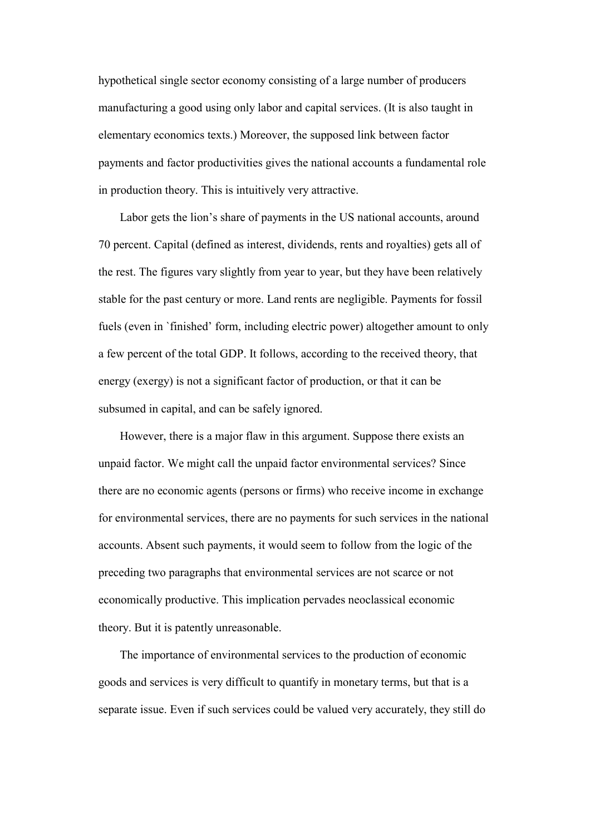hypothetical single sector economy consisting of a large number of producers manufacturing a good using only labor and capital services. (It is also taught in elementary economics texts.) Moreover, the supposed link between factor payments and factor productivities gives the national accounts a fundamental role in production theory. This is intuitively very attractive.

Labor gets the lion's share of payments in the US national accounts, around 70 percent. Capital (defined as interest, dividends, rents and royalties) gets all of the rest. The figures vary slightly from year to year, but they have been relatively stable for the past century or more. Land rents are negligible. Payments for fossil fuels (even in `finished' form, including electric power) altogether amount to only a few percent of the total GDP. It follows, according to the received theory, that energy (exergy) is not a significant factor of production, or that it can be subsumed in capital, and can be safely ignored.

However, there is a major flaw in this argument. Suppose there exists an unpaid factor. We might call the unpaid factor environmental services? Since there are no economic agents (persons or firms) who receive income in exchange for environmental services, there are no payments for such services in the national accounts. Absent such payments, it would seem to follow from the logic of the preceding two paragraphs that environmental services are not scarce or not economically productive. This implication pervades neoclassical economic theory. But it is patently unreasonable.

The importance of environmental services to the production of economic goods and services is very difficult to quantify in monetary terms, but that is a separate issue. Even if such services could be valued very accurately, they still do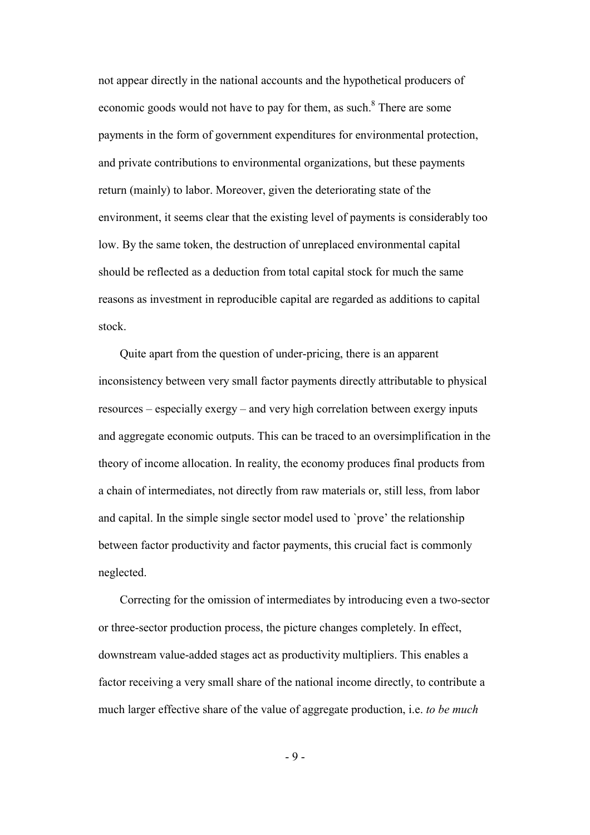not appear directly in the national accounts and the hypothetical producers of economic goods would not have to pay for them, as such.<sup>[8](#page-41-7)</sup> There are some payments in the form of government expenditures for environmental protection, and private contributions to environmental organizations, but these payments return (mainly) to labor. Moreover, given the deteriorating state of the environment, it seems clear that the existing level of payments is considerably too low. By the same token, the destruction of unreplaced environmental capital should be reflected as a deduction from total capital stock for much the same reasons as investment in reproducible capital are regarded as additions to capital stock.

Quite apart from the question of under-pricing, there is an apparent inconsistency between very small factor payments directly attributable to physical resources – especially exergy – and very high correlation between exergy inputs and aggregate economic outputs. This can be traced to an oversimplification in the theory of income allocation. In reality, the economy produces final products from a chain of intermediates, not directly from raw materials or, still less, from labor and capital. In the simple single sector model used to `prove' the relationship between factor productivity and factor payments, this crucial fact is commonly neglected.

Correcting for the omission of intermediates by introducing even a two-sector or three-sector production process, the picture changes completely. In effect, downstream value-added stages act as productivity multipliers. This enables a factor receiving a very small share of the national income directly, to contribute a much larger effective share of the value of aggregate production, i.e. *to be much* 

- 9 -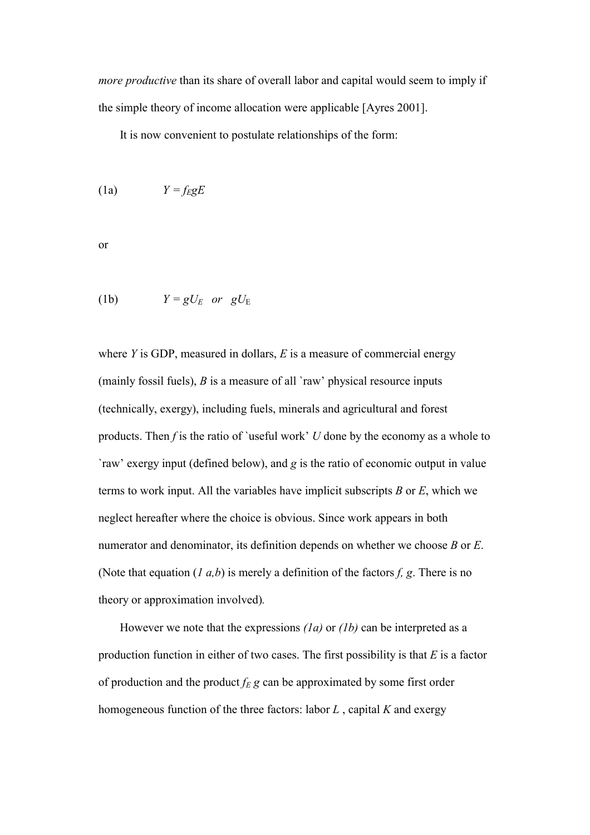*more productive* than its share of overall labor and capital would seem to imply if the simple theory of income allocation were applicable [Ayres 2001].

It is now convenient to postulate relationships of the form:

$$
(1a) \tY = f_E gE
$$

or

(1b) 
$$
Y = gU_E \text{ or } gU_E
$$

where *Y* is GDP, measured in dollars, *E* is a measure of commercial energy (mainly fossil fuels), *B* is a measure of all `raw' physical resource inputs (technically, exergy), including fuels, minerals and agricultural and forest products. Then *f* is the ratio of `useful work' *U* done by the economy as a whole to `raw' exergy input (defined below), and *g* is the ratio of economic output in value terms to work input. All the variables have implicit subscripts *B* or *E*, which we neglect hereafter where the choice is obvious. Since work appears in both numerator and denominator, its definition depends on whether we choose *B* or *E*. (Note that equation (*1 a,b*) is merely a definition of the factors *f, g*. There is no theory or approximation involved)*.*

However we note that the expressions *(1a)* or *(1b)* can be interpreted as a production function in either of two cases. The first possibility is that *E* is a factor of production and the product  $f_E$  g can be approximated by some first order homogeneous function of the three factors: labor *L* , capital *K* and exergy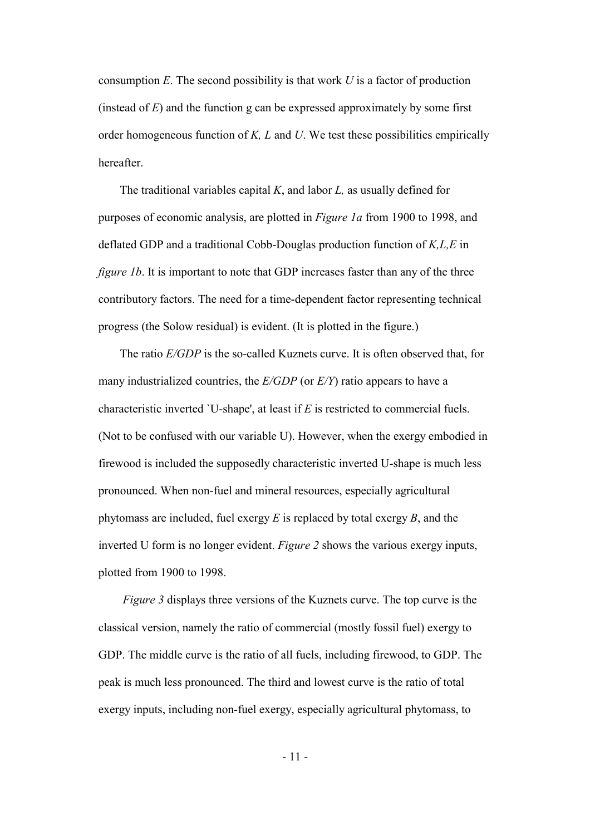consumption *E*. The second possibility is that work *U* is a factor of production (instead of *E*) and the function g can be expressed approximately by some first order homogeneous function of *K, L* and *U*. We test these possibilities empirically hereafter.

The traditional variables capital *K*, and labor *L,* as usually defined for purposes of economic analysis, are plotted in *Figure 1a* from 1900 to 1998, and deflated GDP and a traditional Cobb-Douglas production function of *K,L,E* in *figure 1b.* It is important to note that GDP increases faster than any of the three contributory factors. The need for a time-dependent factor representing technical progress (the Solow residual) is evident. (It is plotted in the figure.)

 The ratio *E/GDP* is the so-called Kuznets curve. It is often observed that, for many industrialized countries, the *E/GDP* (or *E/Y*) ratio appears to have a characteristic inverted `U-shape', at least if *E* is restricted to commercial fuels. (Not to be confused with our variable U). However, when the exergy embodied in firewood is included the supposedly characteristic inverted U-shape is much less pronounced. When non-fuel and mineral resources, especially agricultural phytomass are included, fuel exergy *E* is replaced by total exergy *B*, and the inverted U form is no longer evident. *Figure 2* shows the various exergy inputs, plotted from 1900 to 1998.

*Figure 3* displays three versions of the Kuznets curve. The top curve is the classical version, namely the ratio of commercial (mostly fossil fuel) exergy to GDP. The middle curve is the ratio of all fuels, including firewood, to GDP. The peak is much less pronounced. The third and lowest curve is the ratio of total exergy inputs, including non-fuel exergy, especially agricultural phytomass, to

- 11 -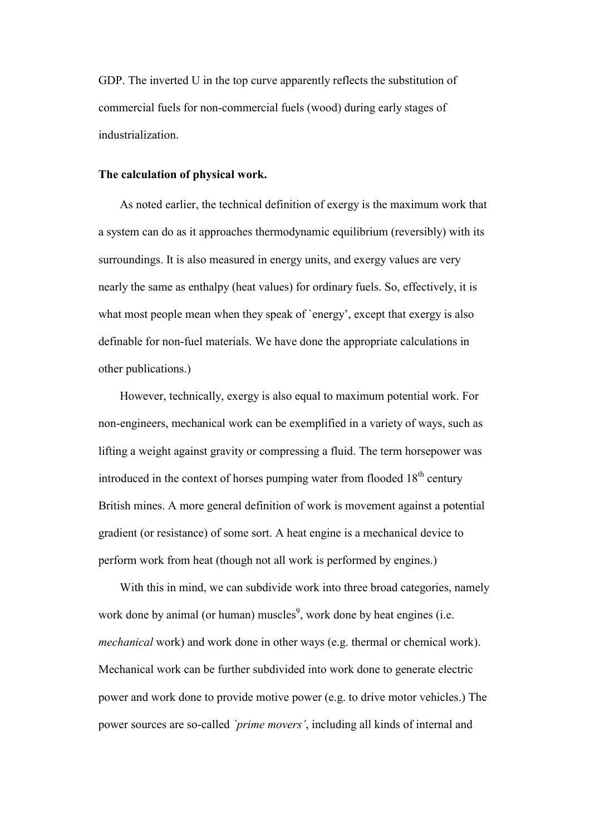GDP. The inverted U in the top curve apparently reflects the substitution of commercial fuels for non-commercial fuels (wood) during early stages of industrialization.

#### **The calculation of physical work.**

As noted earlier, the technical definition of exergy is the maximum work that a system can do as it approaches thermodynamic equilibrium (reversibly) with its surroundings. It is also measured in energy units, and exergy values are very nearly the same as enthalpy (heat values) for ordinary fuels. So, effectively, it is what most people mean when they speak of 'energy', except that exergy is also definable for non-fuel materials. We have done the appropriate calculations in other publications.)

However, technically, exergy is also equal to maximum potential work. For non-engineers, mechanical work can be exemplified in a variety of ways, such as lifting a weight against gravity or compressing a fluid. The term horsepower was introduced in the context of horses pumping water from flooded  $18<sup>th</sup>$  century British mines. A more general definition of work is movement against a potential gradient (or resistance) of some sort. A heat engine is a mechanical device to perform work from heat (though not all work is performed by engines.)

With this in mind, we can subdivide work into three broad categories, namely work done by animal (or human) muscles<sup>[9](#page-41-8)</sup>, work done by heat engines (i.e. *mechanical* work) and work done in other ways (e.g. thermal or chemical work). Mechanical work can be further subdivided into work done to generate electric power and work done to provide motive power (e.g. to drive motor vehicles.) The power sources are so-called *`prime movers'*, including all kinds of internal and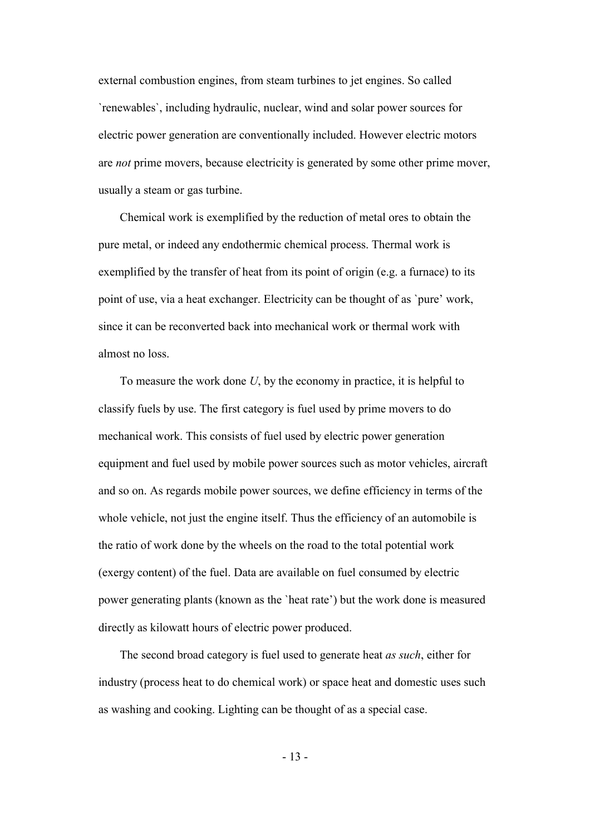external combustion engines, from steam turbines to jet engines. So called `renewables`, including hydraulic, nuclear, wind and solar power sources for electric power generation are conventionally included. However electric motors are *not* prime movers, because electricity is generated by some other prime mover, usually a steam or gas turbine.

Chemical work is exemplified by the reduction of metal ores to obtain the pure metal, or indeed any endothermic chemical process. Thermal work is exemplified by the transfer of heat from its point of origin (e.g. a furnace) to its point of use, via a heat exchanger. Electricity can be thought of as `pure' work, since it can be reconverted back into mechanical work or thermal work with almost no loss.

To measure the work done *U*, by the economy in practice, it is helpful to classify fuels by use. The first category is fuel used by prime movers to do mechanical work. This consists of fuel used by electric power generation equipment and fuel used by mobile power sources such as motor vehicles, aircraft and so on. As regards mobile power sources, we define efficiency in terms of the whole vehicle, not just the engine itself. Thus the efficiency of an automobile is the ratio of work done by the wheels on the road to the total potential work (exergy content) of the fuel. Data are available on fuel consumed by electric power generating plants (known as the `heat rate') but the work done is measured directly as kilowatt hours of electric power produced.

The second broad category is fuel used to generate heat *as such*, either for industry (process heat to do chemical work) or space heat and domestic uses such as washing and cooking. Lighting can be thought of as a special case.

- 13 -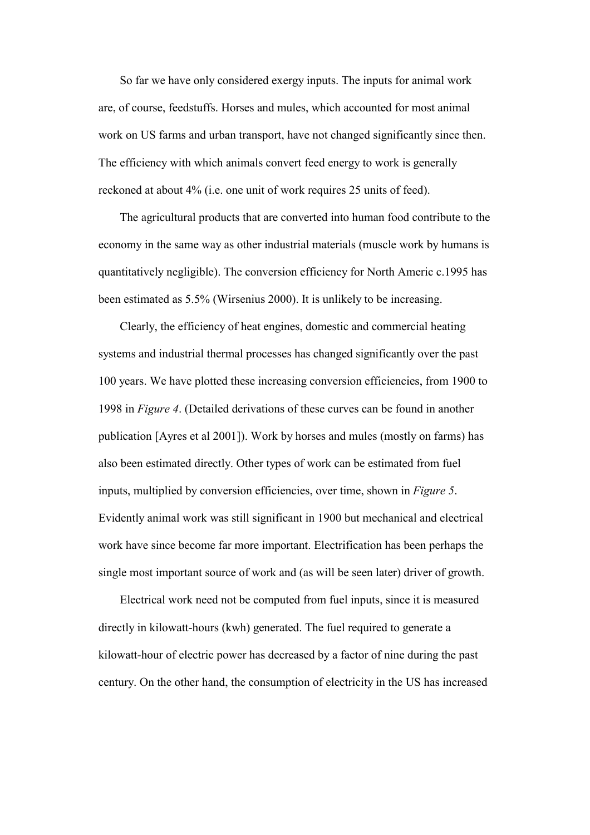So far we have only considered exergy inputs. The inputs for animal work are, of course, feedstuffs. Horses and mules, which accounted for most animal work on US farms and urban transport, have not changed significantly since then. The efficiency with which animals convert feed energy to work is generally reckoned at about 4% (i.e. one unit of work requires 25 units of feed).

The agricultural products that are converted into human food contribute to the economy in the same way as other industrial materials (muscle work by humans is quantitatively negligible). The conversion efficiency for North Americ c.1995 has been estimated as 5.5% (Wirsenius 2000). It is unlikely to be increasing.

Clearly, the efficiency of heat engines, domestic and commercial heating systems and industrial thermal processes has changed significantly over the past 100 years. We have plotted these increasing conversion efficiencies, from 1900 to 1998 in *Figure 4*. (Detailed derivations of these curves can be found in another publication [Ayres et al 2001]). Work by horses and mules (mostly on farms) has also been estimated directly. Other types of work can be estimated from fuel inputs, multiplied by conversion efficiencies, over time, shown in *Figure 5*. Evidently animal work was still significant in 1900 but mechanical and electrical work have since become far more important. Electrification has been perhaps the single most important source of work and (as will be seen later) driver of growth.

 Electrical work need not be computed from fuel inputs, since it is measured directly in kilowatt-hours (kwh) generated. The fuel required to generate a kilowatt-hour of electric power has decreased by a factor of nine during the past century. On the other hand, the consumption of electricity in the US has increased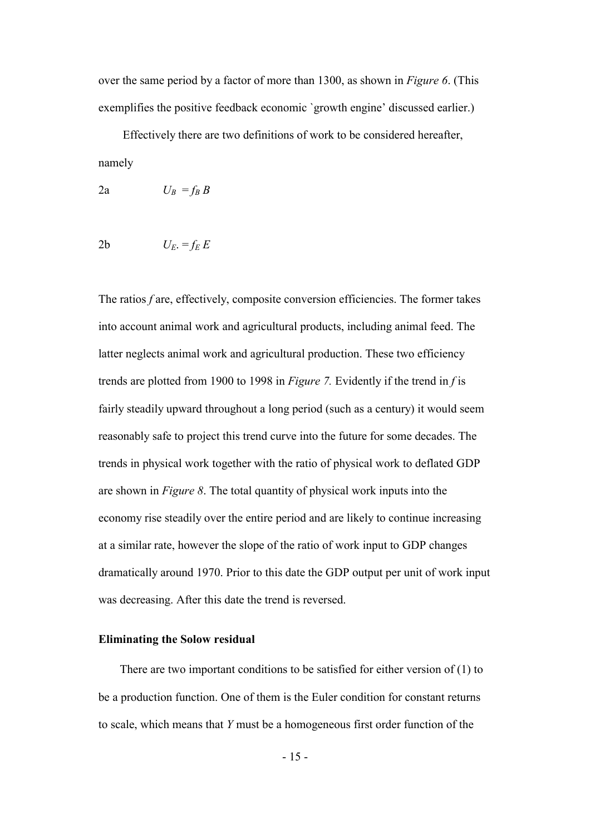over the same period by a factor of more than 1300, as shown in *Figure 6*. (This exemplifies the positive feedback economic `growth engine' discussed earlier.)

 Effectively there are two definitions of work to be considered hereafter, namely

$$
2a \t U_B = f_B B
$$

$$
2b \t U_E = f_E E
$$

The ratios *f* are, effectively, composite conversion efficiencies. The former takes into account animal work and agricultural products, including animal feed. The latter neglects animal work and agricultural production. These two efficiency trends are plotted from 1900 to 1998 in *Figure 7.* Evidently if the trend in *f* is fairly steadily upward throughout a long period (such as a century) it would seem reasonably safe to project this trend curve into the future for some decades. The trends in physical work together with the ratio of physical work to deflated GDP are shown in *Figure 8*. The total quantity of physical work inputs into the economy rise steadily over the entire period and are likely to continue increasing at a similar rate, however the slope of the ratio of work input to GDP changes dramatically around 1970. Prior to this date the GDP output per unit of work input was decreasing. After this date the trend is reversed.

#### **Eliminating the Solow residual**

There are two important conditions to be satisfied for either version of (1) to be a production function. One of them is the Euler condition for constant returns to scale, which means that *Y* must be a homogeneous first order function of the

- 15 -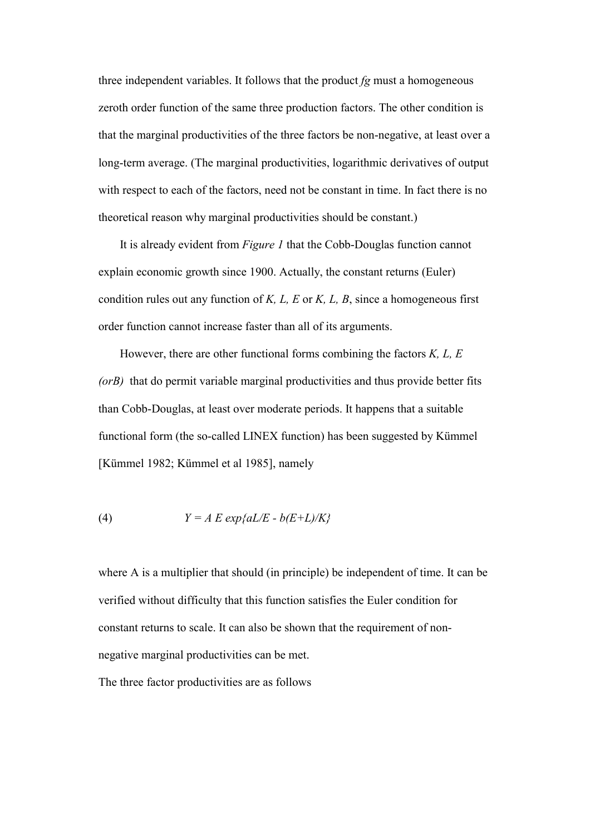three independent variables. It follows that the product *fg* must a homogeneous zeroth order function of the same three production factors. The other condition is that the marginal productivities of the three factors be non-negative, at least over a long-term average. (The marginal productivities, logarithmic derivatives of output with respect to each of the factors, need not be constant in time. In fact there is no theoretical reason why marginal productivities should be constant.)

It is already evident from *Figure 1* that the Cobb-Douglas function cannot explain economic growth since 1900. Actually, the constant returns (Euler) condition rules out any function of *K, L, E* or *K, L, B*, since a homogeneous first order function cannot increase faster than all of its arguments.

However, there are other functional forms combining the factors *K, L, E (orB)* that do permit variable marginal productivities and thus provide better fits than Cobb-Douglas, at least over moderate periods. It happens that a suitable functional form (the so-called LINEX function) has been suggested by Kümmel [Kümmel 1982; Kümmel et al 1985], namely

(4) 
$$
Y = A E \exp\{aL/E - b(E+L)/K\}
$$

where A is a multiplier that should (in principle) be independent of time. It can be verified without difficulty that this function satisfies the Euler condition for constant returns to scale. It can also be shown that the requirement of nonnegative marginal productivities can be met.

The three factor productivities are as follows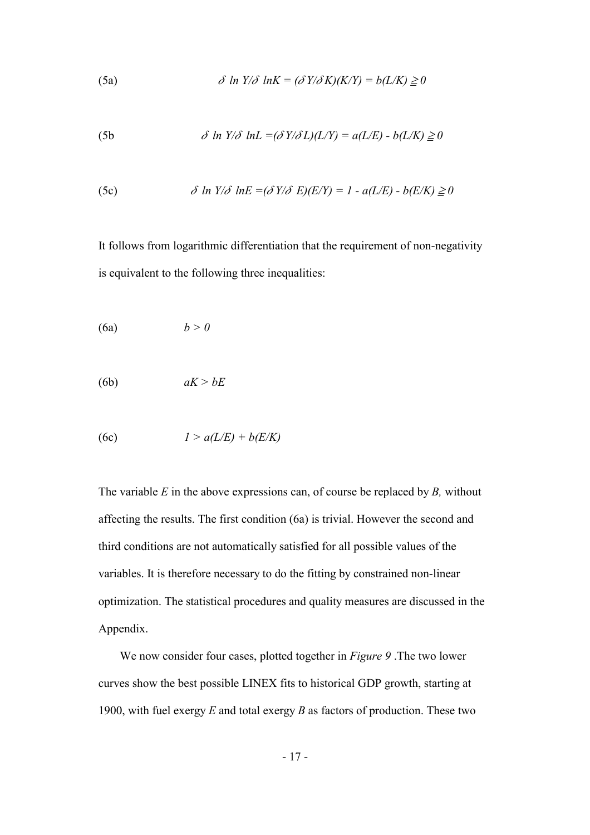(5a) 
$$
\delta \ln Y/\delta \ln K = (\delta Y/\delta K)(K/Y) = b(L/K) \geq 0
$$

(5b 
$$
\delta \ln Y/\delta \ln L = (\delta Y/\delta L)(L/Y) = a(L/E) - b(L/K) \ge 0
$$

(5c) 
$$
\delta \ln Y/\delta \ln E = (\delta Y/\delta E)(E/Y) = 1 - a(L/E) - b(E/K) \ge 0
$$

It follows from logarithmic differentiation that the requirement of non-negativity is equivalent to the following three inequalities:

$$
(6a) \t\t b > 0
$$

$$
(6b) \t aK > bE
$$

$$
(6c) \t\t l > a(L/E) + b(E/K)
$$

The variable *E* in the above expressions can, of course be replaced by *B,* without affecting the results. The first condition (6a) is trivial. However the second and third conditions are not automatically satisfied for all possible values of the variables. It is therefore necessary to do the fitting by constrained non-linear optimization. The statistical procedures and quality measures are discussed in the Appendix.

We now consider four cases, plotted together in *Figure 9* .The two lower curves show the best possible LINEX fits to historical GDP growth, starting at 1900, with fuel exergy *E* and total exergy *B* as factors of production. These two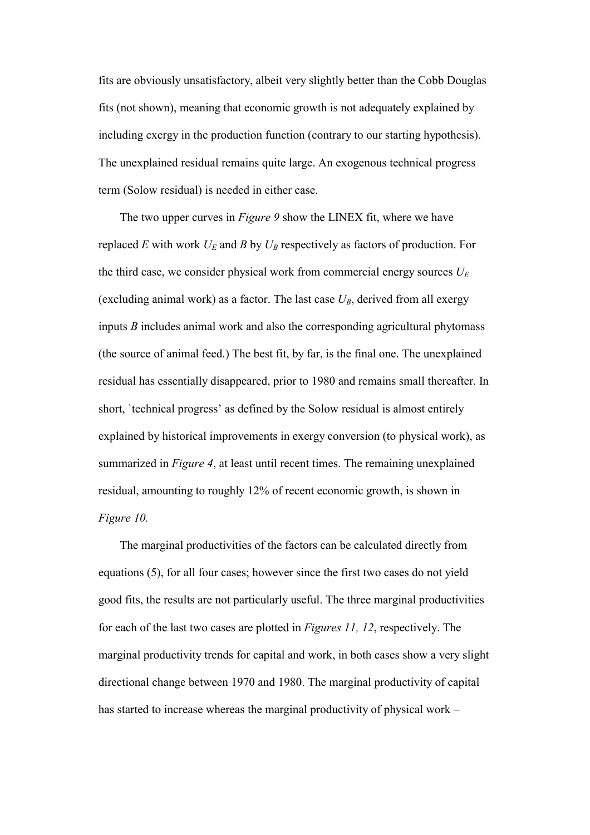fits are obviously unsatisfactory, albeit very slightly better than the Cobb Douglas fits (not shown), meaning that economic growth is not adequately explained by including exergy in the production function (contrary to our starting hypothesis). The unexplained residual remains quite large. An exogenous technical progress term (Solow residual) is needed in either case.

The two upper curves in *Figure 9* show the LINEX fit, where we have replaced *E* with work  $U_F$  and *B* by  $U_B$  respectively as factors of production. For the third case, we consider physical work from commercial energy sources  $U_E$ (excluding animal work) as a factor. The last case  $U_B$ , derived from all exergy inputs *B* includes animal work and also the corresponding agricultural phytomass (the source of animal feed.) The best fit, by far, is the final one. The unexplained residual has essentially disappeared, prior to 1980 and remains small thereafter. In short, `technical progress' as defined by the Solow residual is almost entirely explained by historical improvements in exergy conversion (to physical work), as summarized in *Figure 4*, at least until recent times. The remaining unexplained residual, amounting to roughly 12% of recent economic growth, is shown in *Figure 10.*

The marginal productivities of the factors can be calculated directly from equations (5), for all four cases; however since the first two cases do not yield good fits, the results are not particularly useful. The three marginal productivities for each of the last two cases are plotted in *Figures 11, 12*, respectively. The marginal productivity trends for capital and work, in both cases show a very slight directional change between 1970 and 1980. The marginal productivity of capital has started to increase whereas the marginal productivity of physical work –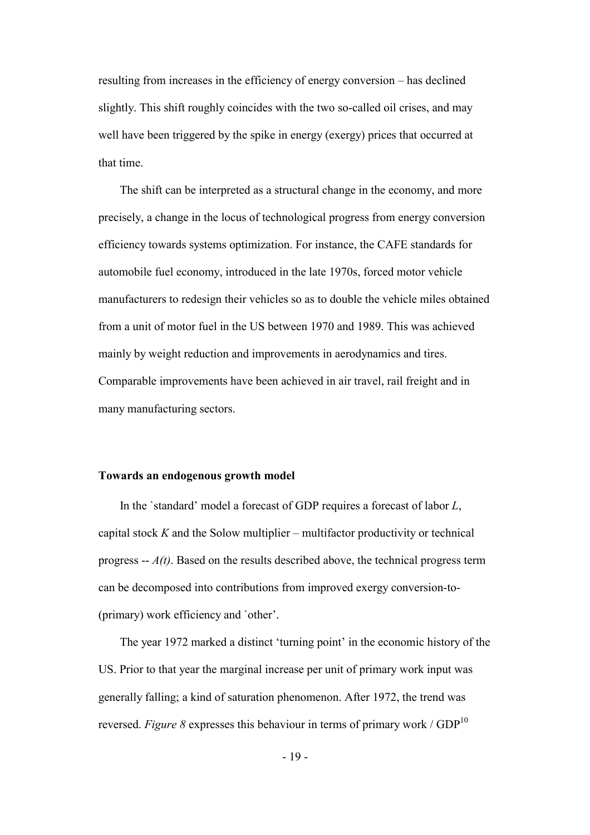resulting from increases in the efficiency of energy conversion – has declined slightly. This shift roughly coincides with the two so-called oil crises, and may well have been triggered by the spike in energy (exergy) prices that occurred at that time.

The shift can be interpreted as a structural change in the economy, and more precisely, a change in the locus of technological progress from energy conversion efficiency towards systems optimization. For instance, the CAFE standards for automobile fuel economy, introduced in the late 1970s, forced motor vehicle manufacturers to redesign their vehicles so as to double the vehicle miles obtained from a unit of motor fuel in the US between 1970 and 1989. This was achieved mainly by weight reduction and improvements in aerodynamics and tires. Comparable improvements have been achieved in air travel, rail freight and in many manufacturing sectors.

#### **Towards an endogenous growth model**

In the `standard' model a forecast of GDP requires a forecast of labor *L*, capital stock *K* and the Solow multiplier – multifactor productivity or technical progress -- *A(t)*. Based on the results described above, the technical progress term can be decomposed into contributions from improved exergy conversion-to- (primary) work efficiency and `other'.

The year 1972 marked a distinct 'turning point' in the economic history of the US. Prior to that year the marginal increase per unit of primary work input was generally falling; a kind of saturation phenomenon. After 1972, the trend was reversed. *Figure 8* expresses this behaviour in terms of primary work /  $GDP<sup>10</sup>$  $GDP<sup>10</sup>$  $GDP<sup>10</sup>$ 

- 19 -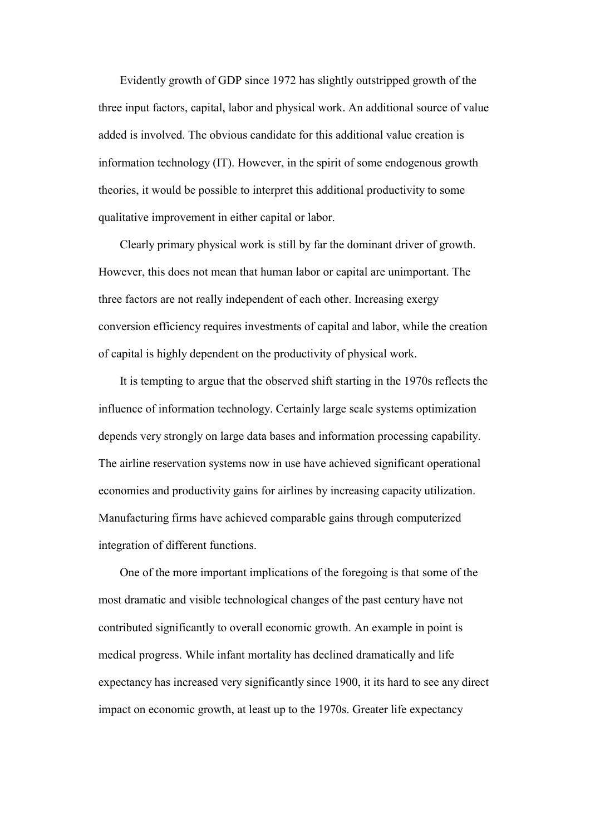Evidently growth of GDP since 1972 has slightly outstripped growth of the three input factors, capital, labor and physical work. An additional source of value added is involved. The obvious candidate for this additional value creation is information technology (IT). However, in the spirit of some endogenous growth theories, it would be possible to interpret this additional productivity to some qualitative improvement in either capital or labor.

Clearly primary physical work is still by far the dominant driver of growth. However, this does not mean that human labor or capital are unimportant. The three factors are not really independent of each other. Increasing exergy conversion efficiency requires investments of capital and labor, while the creation of capital is highly dependent on the productivity of physical work.

It is tempting to argue that the observed shift starting in the 1970s reflects the influence of information technology. Certainly large scale systems optimization depends very strongly on large data bases and information processing capability. The airline reservation systems now in use have achieved significant operational economies and productivity gains for airlines by increasing capacity utilization. Manufacturing firms have achieved comparable gains through computerized integration of different functions.

One of the more important implications of the foregoing is that some of the most dramatic and visible technological changes of the past century have not contributed significantly to overall economic growth. An example in point is medical progress. While infant mortality has declined dramatically and life expectancy has increased very significantly since 1900, it its hard to see any direct impact on economic growth, at least up to the 1970s. Greater life expectancy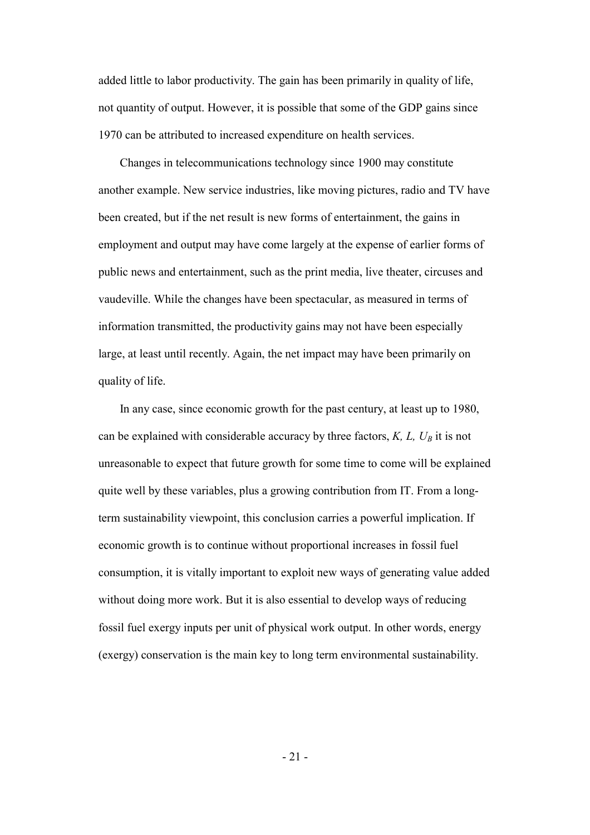added little to labor productivity. The gain has been primarily in quality of life, not quantity of output. However, it is possible that some of the GDP gains since 1970 can be attributed to increased expenditure on health services.

Changes in telecommunications technology since 1900 may constitute another example. New service industries, like moving pictures, radio and TV have been created, but if the net result is new forms of entertainment, the gains in employment and output may have come largely at the expense of earlier forms of public news and entertainment, such as the print media, live theater, circuses and vaudeville. While the changes have been spectacular, as measured in terms of information transmitted, the productivity gains may not have been especially large, at least until recently. Again, the net impact may have been primarily on quality of life.

In any case, since economic growth for the past century, at least up to 1980, can be explained with considerable accuracy by three factors,  $K, L, U_B$  it is not unreasonable to expect that future growth for some time to come will be explained quite well by these variables, plus a growing contribution from IT. From a longterm sustainability viewpoint, this conclusion carries a powerful implication. If economic growth is to continue without proportional increases in fossil fuel consumption, it is vitally important to exploit new ways of generating value added without doing more work. But it is also essential to develop ways of reducing fossil fuel exergy inputs per unit of physical work output. In other words, energy (exergy) conservation is the main key to long term environmental sustainability.

 $-21 -$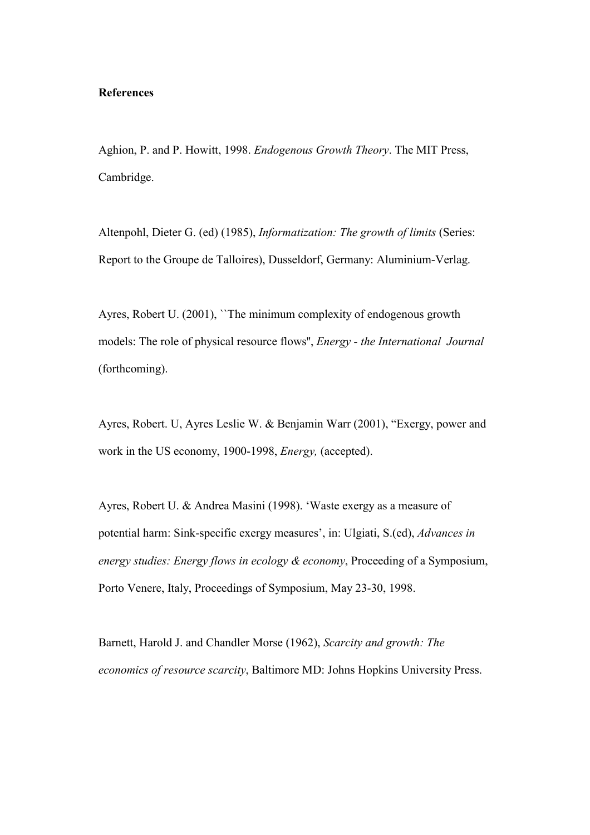#### **References**

Aghion, P. and P. Howitt, 1998. *Endogenous Growth Theory*. The MIT Press, Cambridge.

Altenpohl, Dieter G. (ed) (1985), *Informatization: The growth of limits* (Series: Report to the Groupe de Talloires), Dusseldorf, Germany: Aluminium-Verlag.

Ayres, Robert U. (2001), ``The minimum complexity of endogenous growth models: The role of physical resource flows'', *Energy - the International Journal*  (forthcoming).

Ayres, Robert. U, Ayres Leslie W. & Benjamin Warr (2001), "Exergy, power and work in the US economy, 1900-1998, *Energy,* (accepted).

Ayres, Robert U. & Andrea Masini (1998). 'Waste exergy as a measure of potential harm: Sink-specific exergy measures', in: Ulgiati, S.(ed), *Advances in energy studies: Energy flows in ecology & economy*, Proceeding of a Symposium, Porto Venere, Italy, Proceedings of Symposium, May 23-30, 1998.

Barnett, Harold J. and Chandler Morse (1962), *Scarcity and growth: The economics of resource scarcity*, Baltimore MD: Johns Hopkins University Press.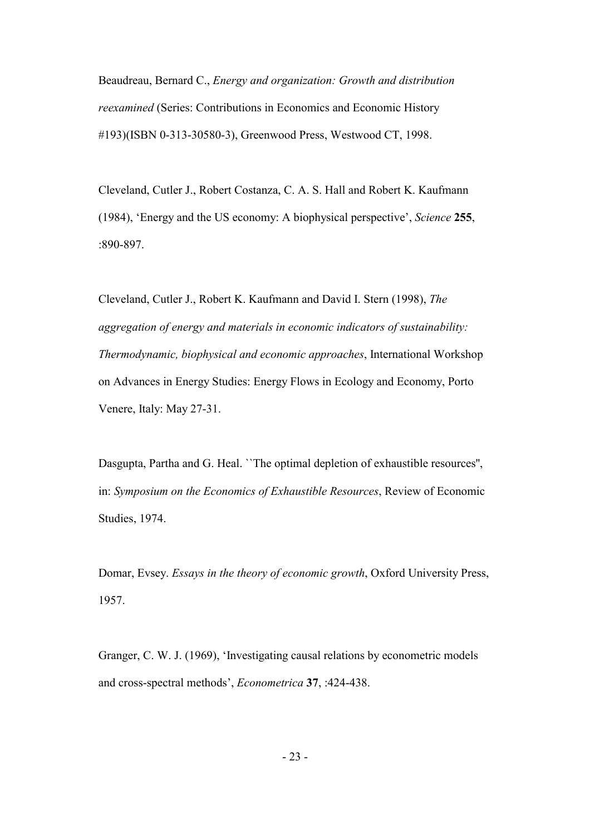Beaudreau, Bernard C., *Energy and organization: Growth and distribution reexamined* (Series: Contributions in Economics and Economic History #193)(ISBN 0-313-30580-3), Greenwood Press, Westwood CT, 1998.

Cleveland, Cutler J., Robert Costanza, C. A. S. Hall and Robert K. Kaufmann (1984), 'Energy and the US economy: A biophysical perspective', *Science* **255**, :890-897.

Cleveland, Cutler J., Robert K. Kaufmann and David I. Stern (1998), *The aggregation of energy and materials in economic indicators of sustainability: Thermodynamic, biophysical and economic approaches*, International Workshop on Advances in Energy Studies: Energy Flows in Ecology and Economy, Porto Venere, Italy: May 27-31.

Dasgupta, Partha and G. Heal. ``The optimal depletion of exhaustible resources'', in: *Symposium on the Economics of Exhaustible Resources*, Review of Economic Studies, 1974.

Domar, Evsey. *Essays in the theory of economic growth*, Oxford University Press, 1957.

Granger, C. W. J. (1969), 'Investigating causal relations by econometric models and cross-spectral methods', *Econometrica* **37**, :424-438.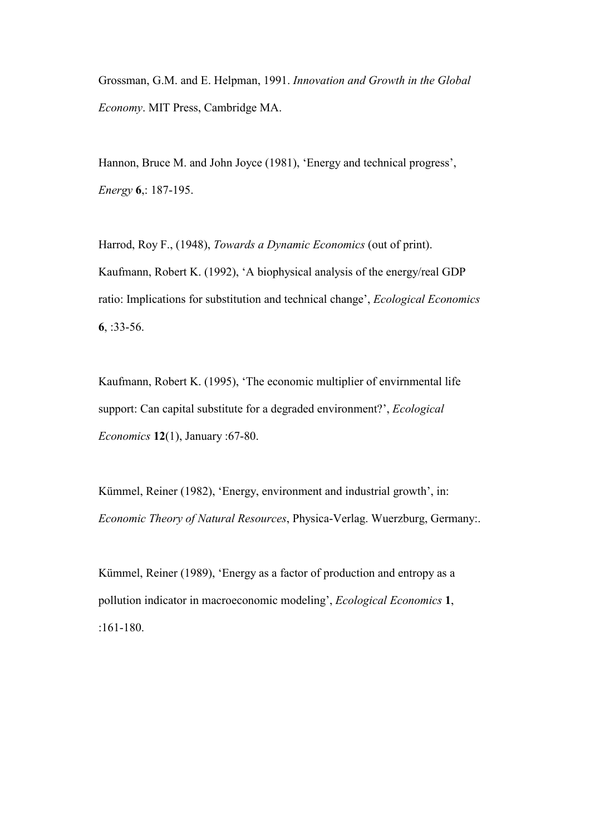Grossman, G.M. and E. Helpman, 1991. *Innovation and Growth in the Global Economy*. MIT Press, Cambridge MA.

Hannon, Bruce M. and John Joyce (1981), 'Energy and technical progress', *Energy* **6**,: 187-195.

Harrod, Roy F., (1948), *Towards a Dynamic Economics* (out of print). Kaufmann, Robert K. (1992), 'A biophysical analysis of the energy/real GDP ratio: Implications for substitution and technical change', *Ecological Economics* **6**, :33-56.

Kaufmann, Robert K. (1995), 'The economic multiplier of envirnmental life support: Can capital substitute for a degraded environment?', *Ecological Economics* **12**(1), January :67-80.

Kümmel, Reiner (1982), 'Energy, environment and industrial growth', in: *Economic Theory of Natural Resources*, Physica-Verlag. Wuerzburg, Germany:.

Kümmel, Reiner (1989), 'Energy as a factor of production and entropy as a pollution indicator in macroeconomic modeling', *Ecological Economics* **1**, :161-180.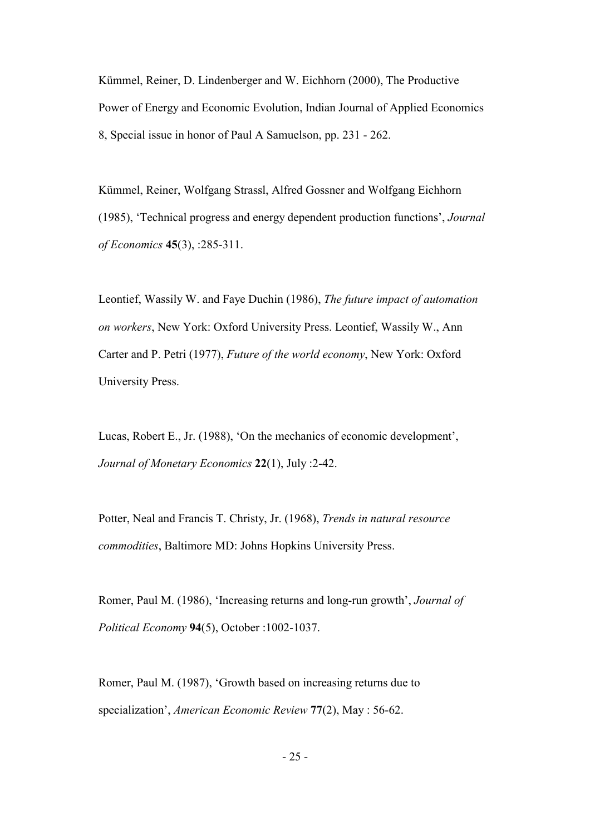Kümmel, Reiner, D. Lindenberger and W. Eichhorn (2000), The Productive Power of Energy and Economic Evolution, Indian Journal of Applied Economics 8, Special issue in honor of Paul A Samuelson, pp. 231 - 262.

Kümmel, Reiner, Wolfgang Strassl, Alfred Gossner and Wolfgang Eichhorn (1985), 'Technical progress and energy dependent production functions', *Journal of Economics* **45**(3), :285-311.

Leontief, Wassily W. and Faye Duchin (1986), *The future impact of automation on workers*, New York: Oxford University Press. Leontief, Wassily W., Ann Carter and P. Petri (1977), *Future of the world economy*, New York: Oxford University Press.

Lucas, Robert E., Jr. (1988), 'On the mechanics of economic development', *Journal of Monetary Economics* **22**(1), July :2-42.

Potter, Neal and Francis T. Christy, Jr. (1968), *Trends in natural resource commodities*, Baltimore MD: Johns Hopkins University Press.

Romer, Paul M. (1986), 'Increasing returns and long-run growth', *Journal of Political Economy* **94**(5), October :1002-1037.

Romer, Paul M. (1987), 'Growth based on increasing returns due to specialization', *American Economic Review* **77**(2), May : 56-62.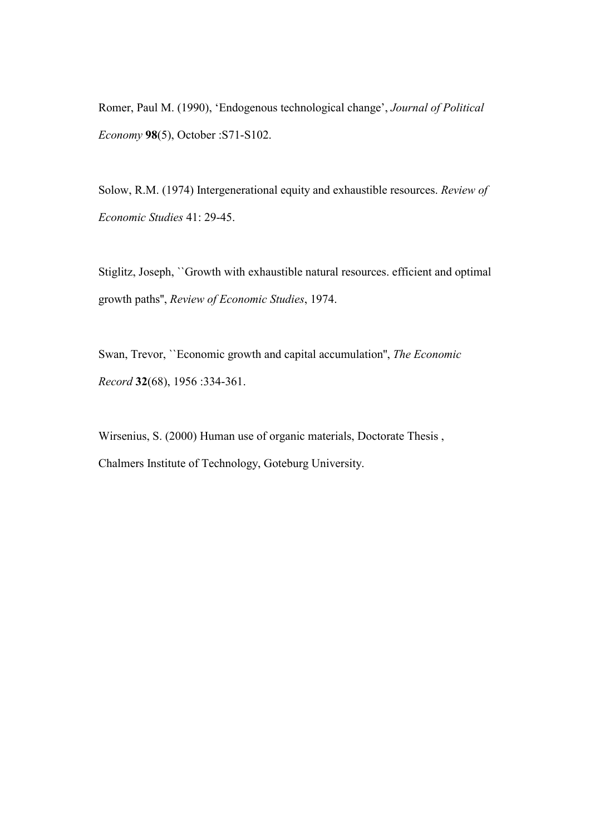Romer, Paul M. (1990), 'Endogenous technological change', *Journal of Political Economy* **98**(5), October :S71-S102.

Solow, R.M. (1974) Intergenerational equity and exhaustible resources. *Review of Economic Studies* 41: 29-45.

Stiglitz, Joseph, ``Growth with exhaustible natural resources. efficient and optimal growth paths'', *Review of Economic Studies*, 1974.

Swan, Trevor, ``Economic growth and capital accumulation'', *The Economic Record* **32**(68), 1956 :334-361.

Wirsenius, S. (2000) Human use of organic materials, Doctorate Thesis , Chalmers Institute of Technology, Goteburg University.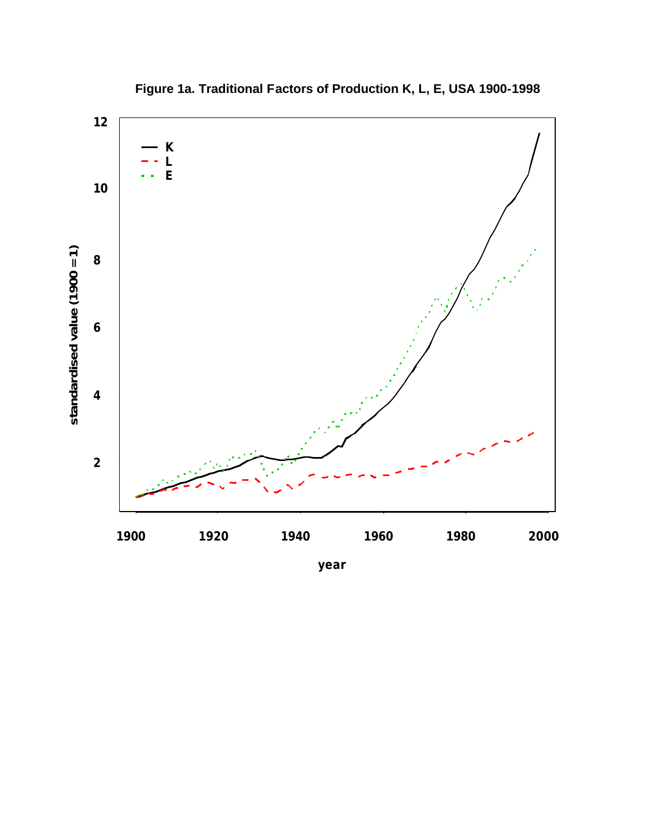

**Figure 1a. Traditional Factors of Production K, L, E, USA 1900-1998**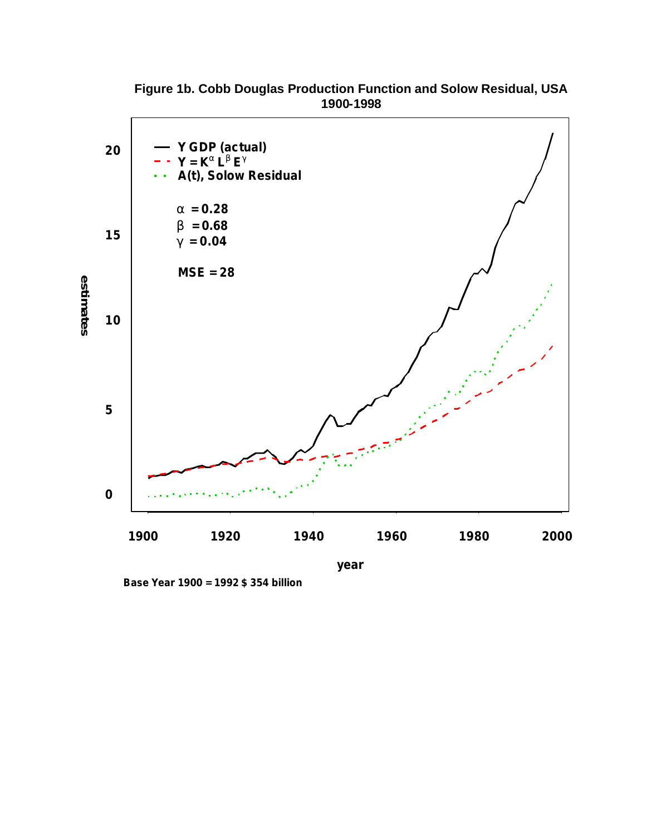

**Figure 1b. Cobb Douglas Production Function and Solow Residual, USA 1900-1998**

**Base Year 1900 = 1992 \$ 354 billion**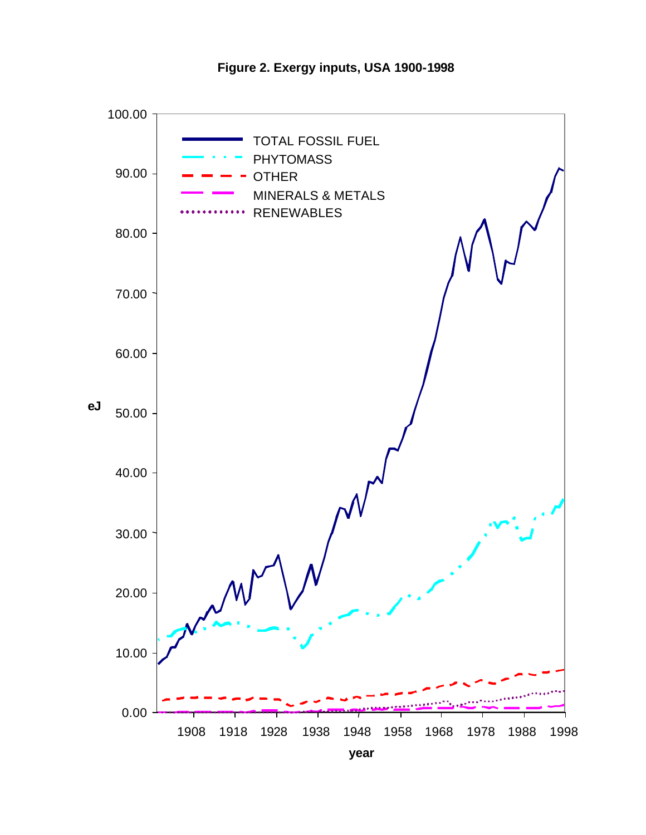

**Figure 2. Exergy inputs, USA 1900-1998**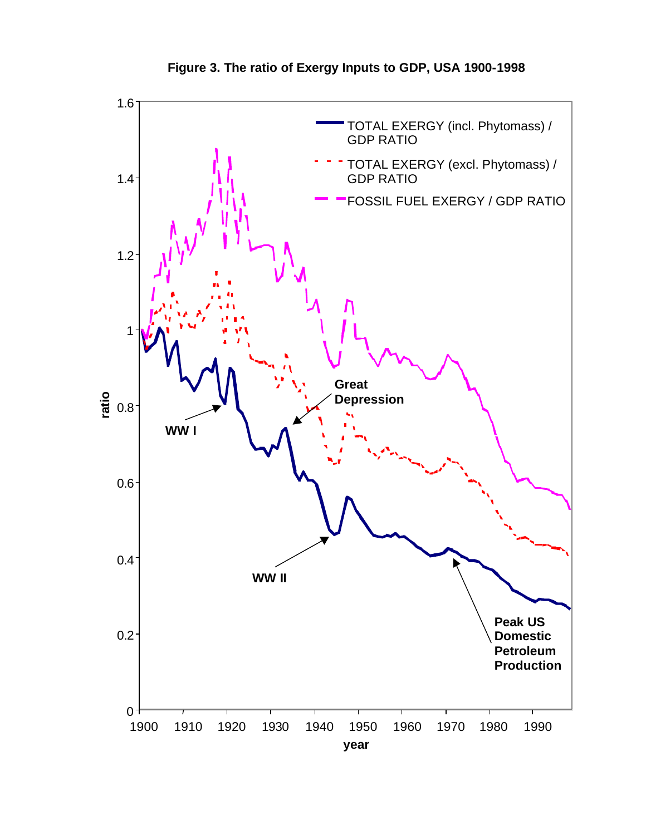

**Figure 3. The ratio of Exergy Inputs to GDP, USA 1900-1998**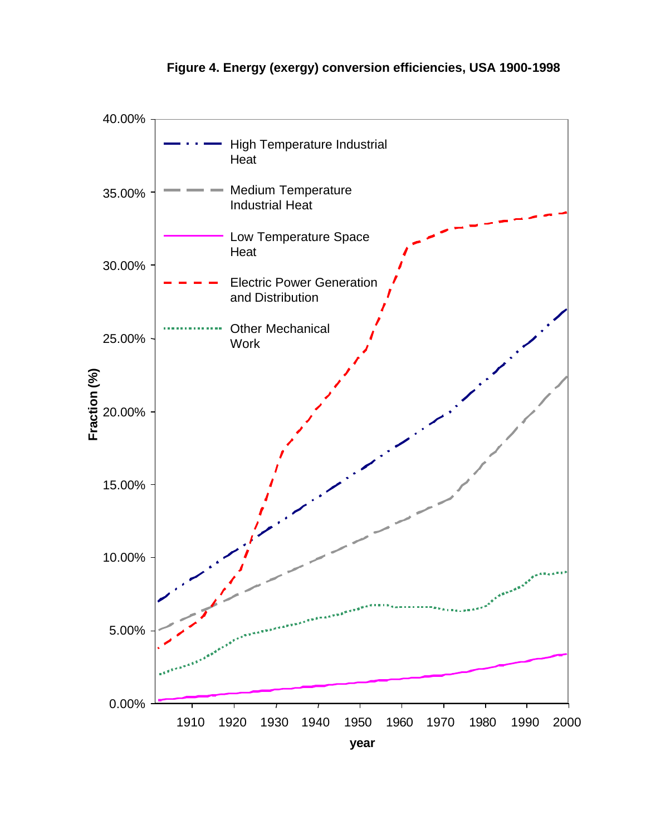

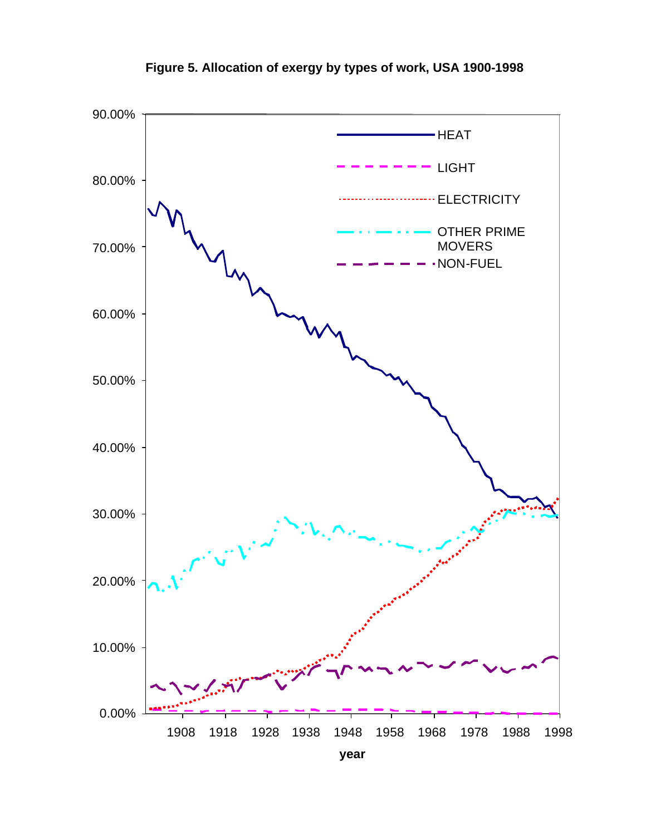

**Figure 5. Allocation of exergy by types of work, USA 1900-1998**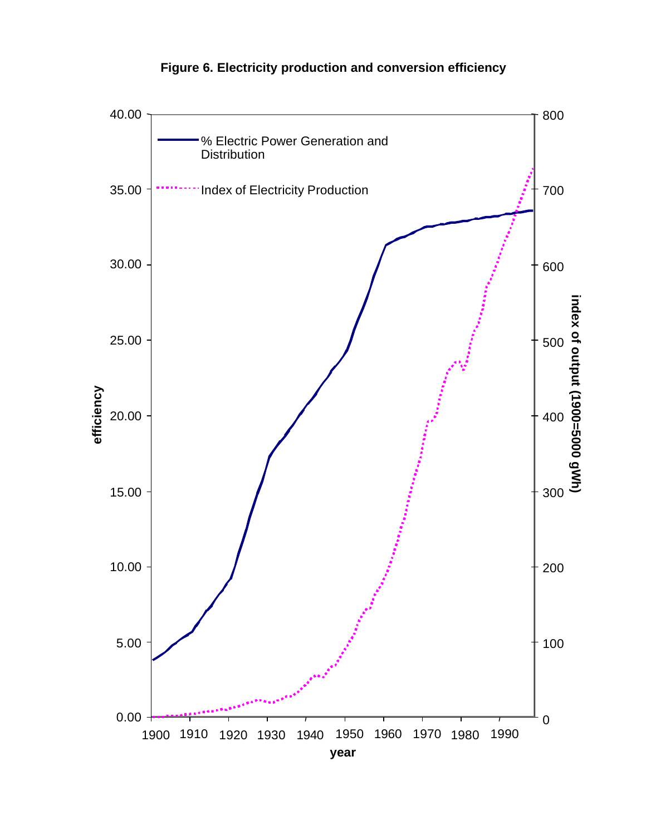## **Figure 6. Electricity production and conversion efficiency**

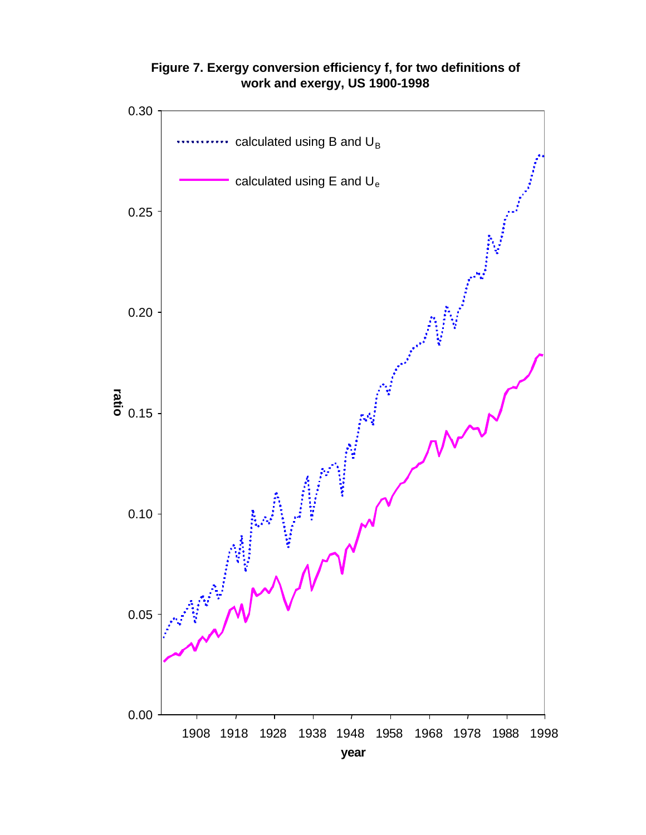

**Figure 7. Exergy conversion efficiency f, for two definitions of work and exergy, US 1900-1998**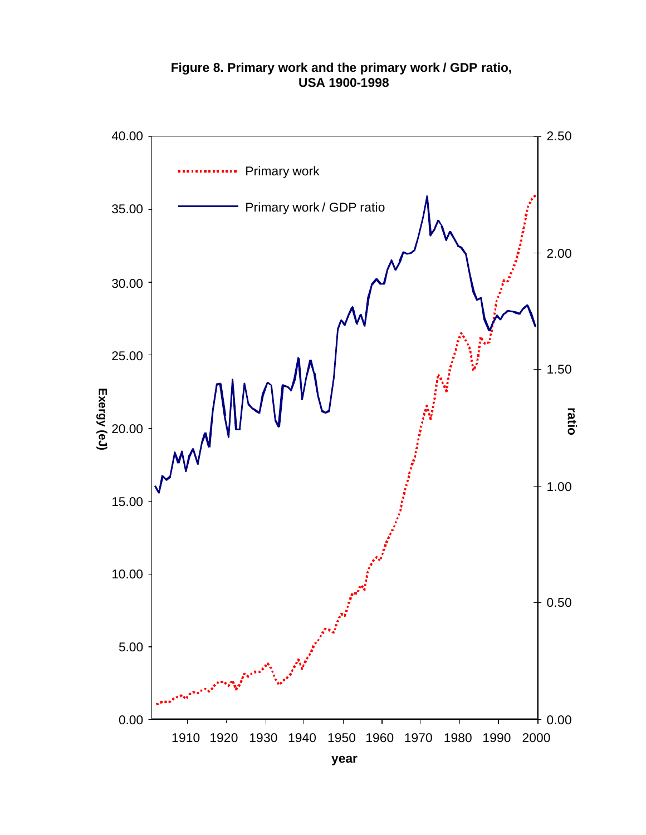

### **Figure 8. Primary work and the primary work / GDP ratio, USA 1900-1998**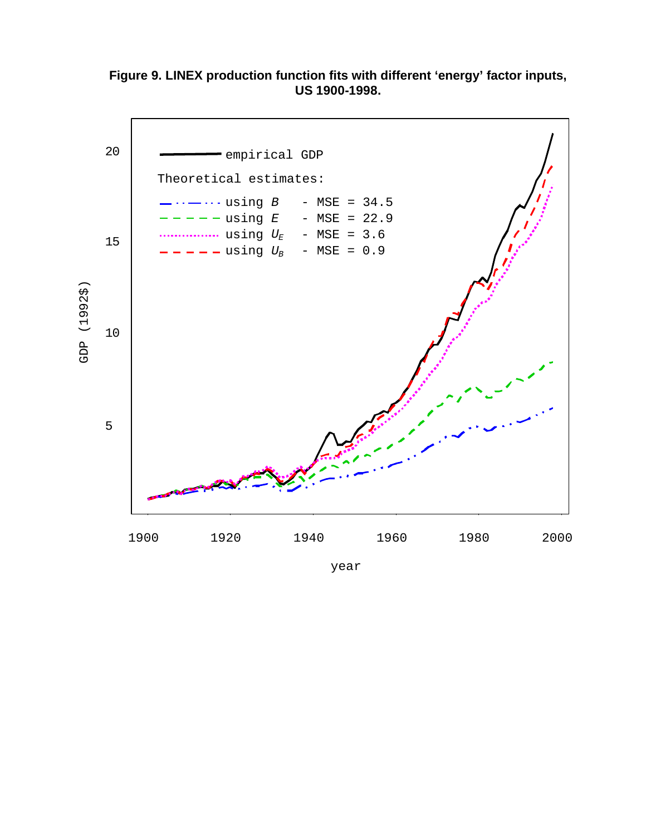**Figure 9. LINEX production function fits with different 'energy' factor inputs, US 1900-1998.**

![](_page_36_Figure_1.jpeg)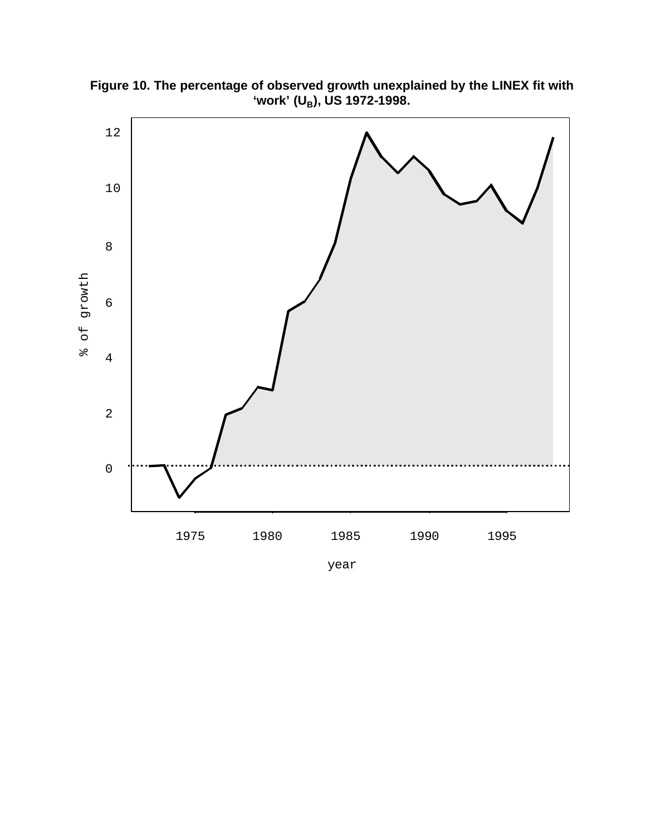![](_page_37_Figure_0.jpeg)

**Figure 10. The percentage of observed growth unexplained by the LINEX fit with 'work' (UB), US 1972-1998.**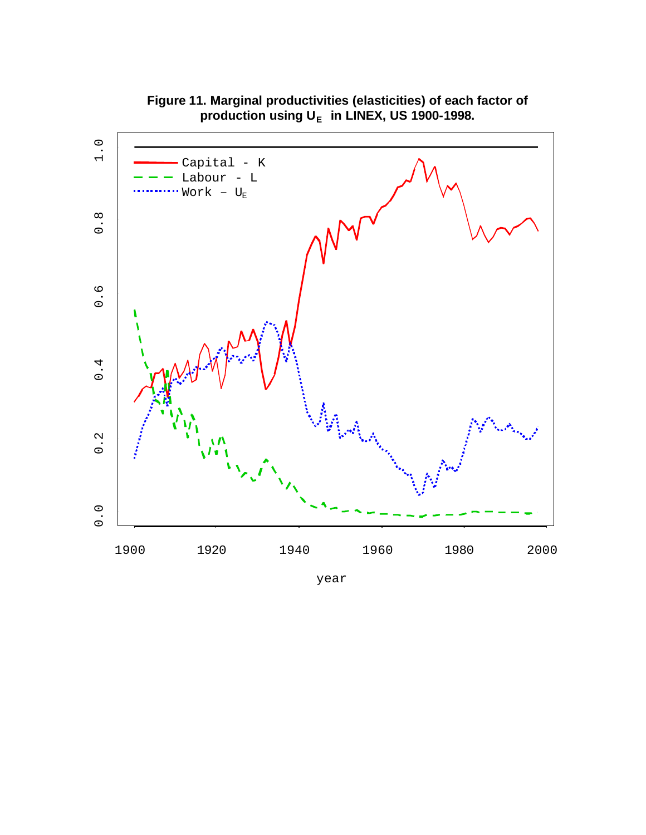![](_page_38_Figure_0.jpeg)

**Figure 11. Marginal productivities (elasticities) of each factor of production using U<sup>E</sup> in LINEX, US 1900-1998.**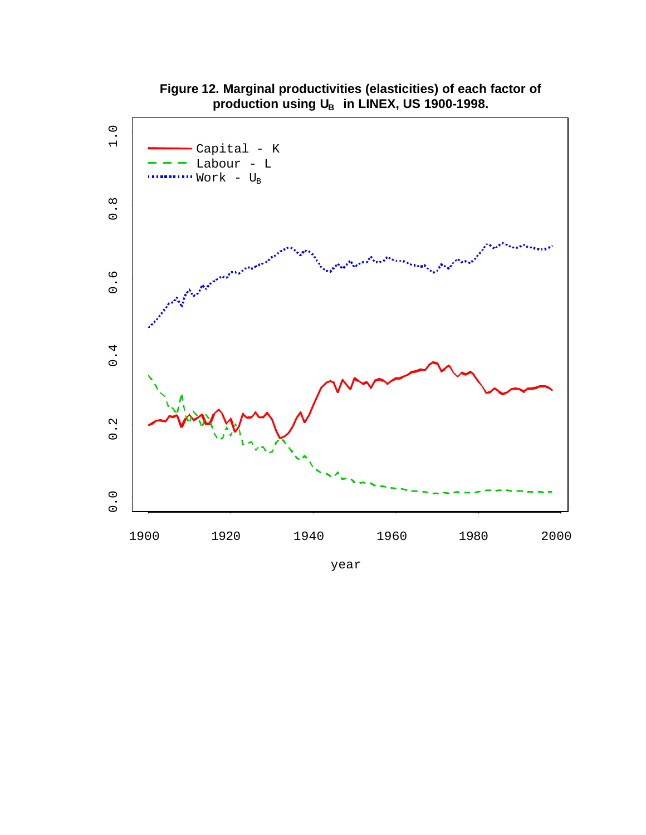![](_page_39_Figure_0.jpeg)

**Figure 12. Marginal productivities (elasticities) of each factor of production using U<sup>B</sup> in LINEX, US 1900-1998.**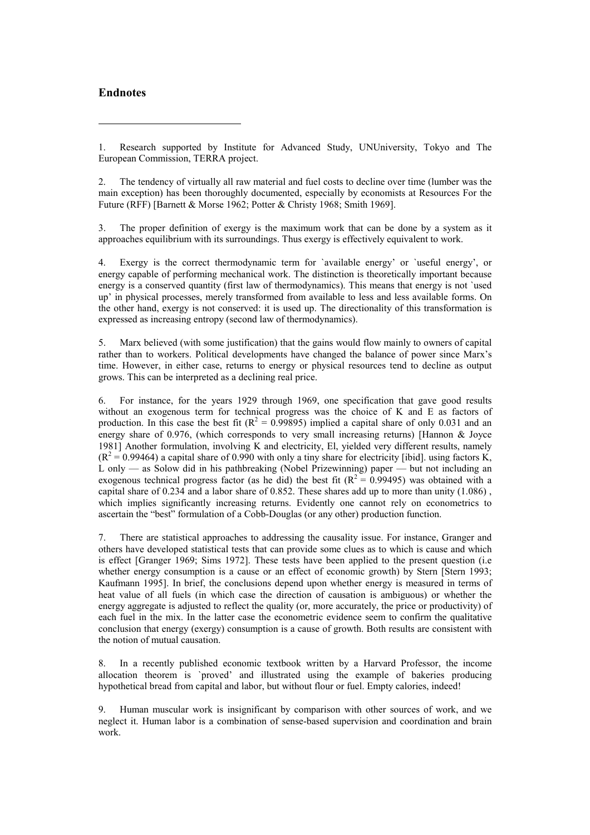#### **Endnotes**

 $\overline{a}$ 

1. Research supported by Institute for Advanced Study, UNUniversity, Tokyo and The European Commission, TERRA project.

2. The tendency of virtually all raw material and fuel costs to decline over time (lumber was the main exception) has been thoroughly documented, especially by economists at Resources For the Future (RFF) [Barnett & Morse 1962; Potter & Christy 1968; Smith 1969].

3. The proper definition of exergy is the maximum work that can be done by a system as it approaches equilibrium with its surroundings. Thus exergy is effectively equivalent to work.

4. Exergy is the correct thermodynamic term for `available energy' or `useful energy', or energy capable of performing mechanical work. The distinction is theoretically important because energy is a conserved quantity (first law of thermodynamics). This means that energy is not `used up' in physical processes, merely transformed from available to less and less available forms. On the other hand, exergy is not conserved: it is used up. The directionality of this transformation is expressed as increasing entropy (second law of thermodynamics).

5. Marx believed (with some justification) that the gains would flow mainly to owners of capital rather than to workers. Political developments have changed the balance of power since Marx's time. However, in either case, returns to energy or physical resources tend to decline as output grows. This can be interpreted as a declining real price.

6. For instance, for the years 1929 through 1969, one specification that gave good results without an exogenous term for technical progress was the choice of K and E as factors of production. In this case the best fit ( $R^2 = 0.99895$ ) implied a capital share of only 0.031 and an energy share of 0.976, (which corresponds to very small increasing returns) [Hannon & Joyce 1981] Another formulation, involving K and electricity, El, yielded very different results, namely  $(R^2 = 0.99464)$  a capital share of 0.990 with only a tiny share for electricity [ibid]. using factors K, L only — as Solow did in his pathbreaking (Nobel Prizewinning) paper — but not including an exogenous technical progress factor (as he did) the best fit ( $R^2 = 0.99495$ ) was obtained with a capital share of  $0.234$  and a labor share of  $0.852$ . These shares add up to more than unity  $(1.086)$ , which implies significantly increasing returns. Evidently one cannot rely on econometrics to ascertain the "best" formulation of a Cobb-Douglas (or any other) production function.

7. There are statistical approaches to addressing the causality issue. For instance, Granger and others have developed statistical tests that can provide some clues as to which is cause and which is effect [Granger 1969; Sims 1972]. These tests have been applied to the present question (i.e whether energy consumption is a cause or an effect of economic growth) by Stern [Stern 1993; Kaufmann 1995]. In brief, the conclusions depend upon whether energy is measured in terms of heat value of all fuels (in which case the direction of causation is ambiguous) or whether the energy aggregate is adjusted to reflect the quality (or, more accurately, the price or productivity) of each fuel in the mix. In the latter case the econometric evidence seem to confirm the qualitative conclusion that energy (exergy) consumption is a cause of growth. Both results are consistent with the notion of mutual causation.

8. In a recently published economic textbook written by a Harvard Professor, the income allocation theorem is `proved' and illustrated using the example of bakeries producing hypothetical bread from capital and labor, but without flour or fuel. Empty calories, indeed!

9. Human muscular work is insignificant by comparison with other sources of work, and we neglect it. Human labor is a combination of sense-based supervision and coordination and brain work.